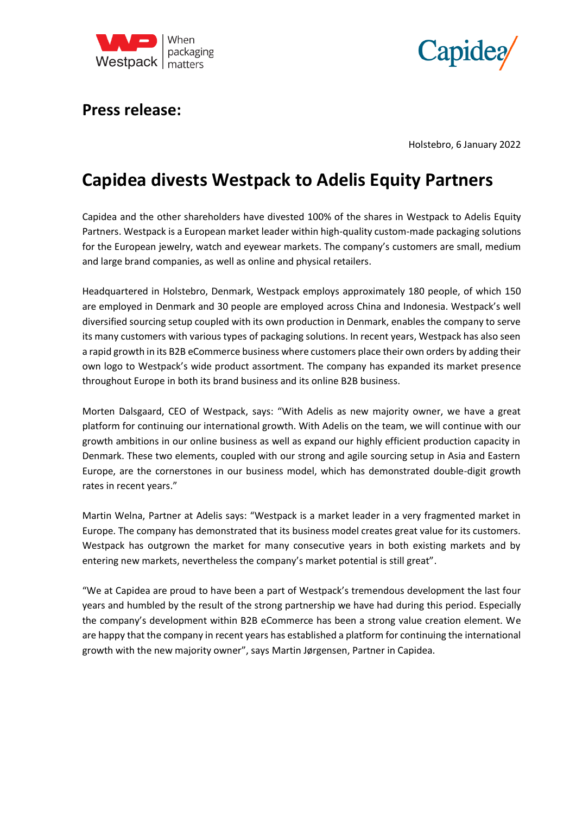



# **Press release:**

Holstebro, 6 January 2022

# **Capidea divests Westpack to Adelis Equity Partners**

Capidea and the other shareholders have divested 100% of the shares in Westpack to Adelis Equity Partners. Westpack is a European market leader within high-quality custom-made packaging solutions for the European jewelry, watch and eyewear markets. The company's customers are small, medium and large brand companies, as well as online and physical retailers.

Headquartered in Holstebro, Denmark, Westpack employs approximately 180 people, of which 150 are employed in Denmark and 30 people are employed across China and Indonesia. Westpack's well diversified sourcing setup coupled with its own production in Denmark, enables the company to serve its many customers with various types of packaging solutions. In recent years, Westpack has also seen a rapid growth in its B2B eCommerce business where customers place their own orders by adding their own logo to Westpack's wide product assortment. The company has expanded its market presence throughout Europe in both its brand business and its online B2B business.

Morten Dalsgaard, CEO of Westpack, says: "With Adelis as new majority owner, we have a great platform for continuing our international growth. With Adelis on the team, we will continue with our growth ambitions in our online business as well as expand our highly efficient production capacity in Denmark. These two elements, coupled with our strong and agile sourcing setup in Asia and Eastern Europe, are the cornerstones in our business model, which has demonstrated double-digit growth rates in recent years."

Martin Welna, Partner at Adelis says: "Westpack is a market leader in a very fragmented market in Europe. The company has demonstrated that its business model creates great value for its customers. Westpack has outgrown the market for many consecutive years in both existing markets and by entering new markets, nevertheless the company's market potential is still great".

"We at Capidea are proud to have been a part of Westpack's tremendous development the last four years and humbled by the result of the strong partnership we have had during this period. Especially the company's development within B2B eCommerce has been a strong value creation element. We are happy that the company in recent years has established a platform for continuing the international growth with the new majority owner", says Martin Jørgensen, Partner in Capidea.